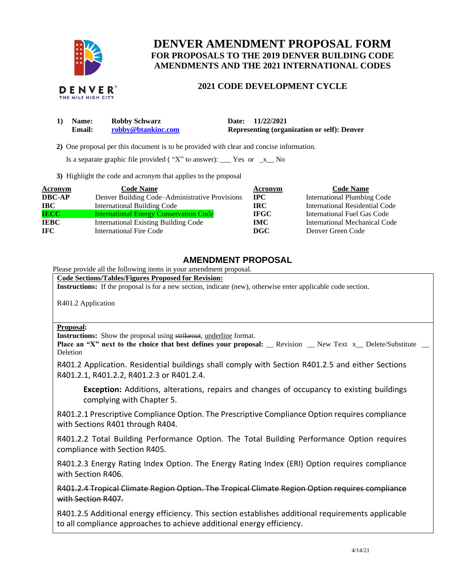

# **DENVER AMENDMENT PROPOSAL FORM FOR PROPOSALS TO THE 2019 DENVER BUILDING CODE AMENDMENTS AND THE 2021 INTERNATIONAL CODES**

## **2021 CODE DEVELOPMENT CYCLE**

| 1) Name: | <b>Robby Schwarz</b> | Date: 11/22/2021                                   |
|----------|----------------------|----------------------------------------------------|
| Email:   | robby@btankinc.com   | <b>Representing (organization or self): Denver</b> |

 **2)** One proposal per this document is to be provided with clear and concise information.

Is a separate graphic file provided ("X" to answer):  $\Gamma$  Yes or  $\Gamma$  No

**3)** Highlight the code and acronym that applies to the proposal

| Acronym       | <b>Code Name</b>                               | Acronym     | <b>Code Name</b>                   |
|---------------|------------------------------------------------|-------------|------------------------------------|
| <b>DBC-AP</b> | Denver Building Code–Administrative Provisions | $\bf IPC$   | <b>International Plumbing Code</b> |
| IBC -         | <b>International Building Code</b>             | IRC-        | International Residential Code     |
| <b>IECC</b>   | <b>International Energy Conservation Code</b>  | <b>IFGC</b> | International Fuel Gas Code        |
| <b>IEBC</b>   | <b>International Existing Building Code</b>    | <b>IMC</b>  | International Mechanical Code      |
| IFC.          | International Fire Code                        | DGC         | Denver Green Code                  |

# **AMENDMENT PROPOSAL**

Please provide all the following items in your amendment proposal.

**Code Sections/Tables/Figures Proposed for Revision:**

**Instructions:** If the proposal is for a new section, indicate (new), otherwise enter applicable code section.

R401.2 Application

#### **Proposal:**

**Instructions:** Show the proposal using strikeout, underline format.

**Place an "X" next to the choice that best defines your proposal:** Revision New Text x Delete/Substitute Deletion

R401.2 Application. Residential buildings shall comply with Section R401.2.5 and either Sections R401.2.1, R401.2.2, R401.2.3 or R401.2.4.

**Exception:** Additions, alterations, repairs and changes of occupancy to existing buildings complying with Chapter 5.

R401.2.1 Prescriptive Compliance Option. The Prescriptive Compliance Option requires compliance with Sections R401 through R404.

R401.2.2 Total Building Performance Option. The Total Building Performance Option requires compliance with Section R405.

R401.2.3 Energy Rating Index Option. The Energy Rating Index (ERI) Option requires compliance with Section R406.

R401.2.4 Tropical Climate Region Option. The Tropical Climate Region Option requires compliance with Section R407.

R401.2.5 Additional energy efficiency. This section establishes additional requirements applicable to all compliance approaches to achieve additional energy efficiency.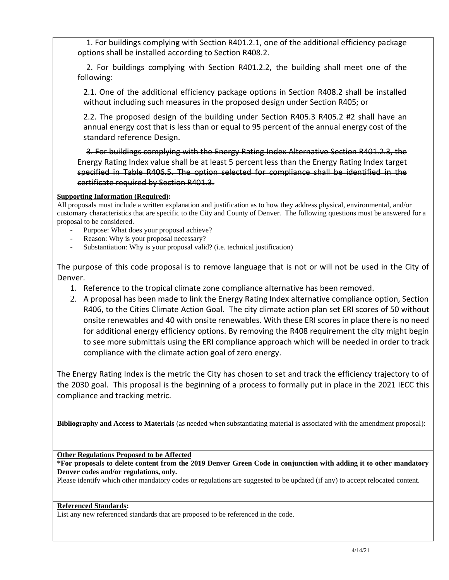1. For buildings complying with Section R401.2.1, one of the additional efficiency package options shall be installed according to Section R408.2.

2. For buildings complying with Section R401.2.2, the building shall meet one of the following:

2.1. One of the additional efficiency package options in Section R408.2 shall be installed without including such measures in the proposed design under Section R405; or

2.2. The proposed design of the building under Section R405.3 R405.2 #2 shall have an annual energy cost that is less than or equal to 95 percent of the annual energy cost of the standard reference Design.

3. For buildings complying with the Energy Rating Index Alternative Section R401.2.3, the Energy Rating Index value shall be at least 5 percent less than the Energy Rating Index target specified in Table R406.5. The option selected for compliance shall be identified in the certificate required by Section R401.3.

### **Supporting Information (Required):**

All proposals must include a written explanation and justification as to how they address physical, environmental, and/or customary characteristics that are specific to the City and County of Denver. The following questions must be answered for a proposal to be considered.

- Purpose: What does your proposal achieve?
- Reason: Why is your proposal necessary?
- Substantiation: Why is your proposal valid? (i.e. technical justification)

The purpose of this code proposal is to remove language that is not or will not be used in the City of Denver.

- 1. Reference to the tropical climate zone compliance alternative has been removed.
- 2. A proposal has been made to link the Energy Rating Index alternative compliance option, Section R406, to the Cities Climate Action Goal. The city climate action plan set ERI scores of 50 without onsite renewables and 40 with onsite renewables. With these ERI scores in place there is no need for additional energy efficiency options. By removing the R408 requirement the city might begin to see more submittals using the ERI compliance approach which will be needed in order to track compliance with the climate action goal of zero energy.

The Energy Rating Index is the metric the City has chosen to set and track the efficiency trajectory to of the 2030 goal. This proposal is the beginning of a process to formally put in place in the 2021 IECC this compliance and tracking metric.

**Bibliography and Access to Materials** (as needed when substantiating material is associated with the amendment proposal):

**Other Regulations Proposed to be Affected**

**\*For proposals to delete content from the 2019 Denver Green Code in conjunction with adding it to other mandatory Denver codes and/or regulations, only.**

Please identify which other mandatory codes or regulations are suggested to be updated (if any) to accept relocated content.

#### **Referenced Standards:**

List any new referenced standards that are proposed to be referenced in the code.